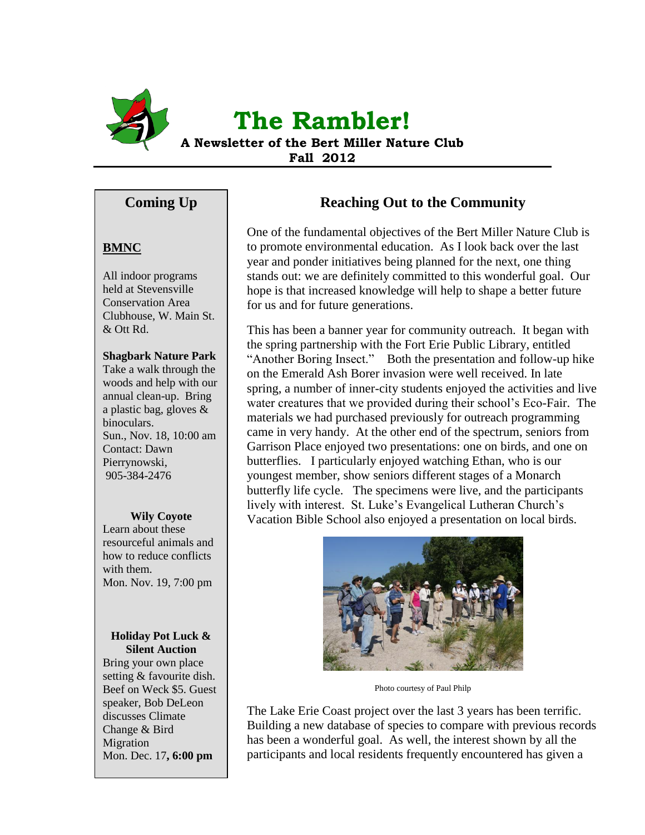

# **The Rambler!**

**A Newsletter of the Bert Miller Nature Club Fall 2012**

# **Coming Up**

## **BMNC**

All indoor programs held at Stevensville Conservation Area Clubhouse, W. Main St. & Ott Rd.

## **Shagbark Nature Park**

Take a walk through the woods and help with our annual clean-up. Bring a plastic bag, gloves & binoculars. Sun., Nov. 18, 10:00 am Contact: Dawn Pierrynowski, 905-384-2476

### **Wily Coyote**

Learn about these resourceful animals and how to reduce conflicts with them. Mon. Nov. 19, 7:00 pm

### **Holiday Pot Luck & Silent Auction**

Bring your own place setting & favourite dish. Beef on Weck \$5. Guest speaker, Bob DeLeon discusses Climate Change & Bird Migration Mon. Dec. 17**, 6:00 pm**

# **Reaching Out to the Community**

One of the fundamental objectives of the Bert Miller Nature Club is to promote environmental education. As I look back over the last year and ponder initiatives being planned for the next, one thing stands out: we are definitely committed to this wonderful goal. Our hope is that increased knowledge will help to shape a better future for us and for future generations.

This has been a banner year for community outreach. It began with the spring partnership with the Fort Erie Public Library, entitled "Another Boring Insect." Both the presentation and follow-up hike on the Emerald Ash Borer invasion were well received. In late spring, a number of inner-city students enjoyed the activities and live water creatures that we provided during their school's Eco-Fair. The materials we had purchased previously for outreach programming came in very handy. At the other end of the spectrum, seniors from Garrison Place enjoyed two presentations: one on birds, and one on butterflies. I particularly enjoyed watching Ethan, who is our youngest member, show seniors different stages of a Monarch butterfly life cycle. The specimens were live, and the participants lively with interest. St. Luke's Evangelical Lutheran Church's Vacation Bible School also enjoyed a presentation on local birds.



Photo courtesy of Paul Philp

The Lake Erie Coast project over the last 3 years has been terrific. Building a new database of species to compare with previous records has been a wonderful goal. As well, the interest shown by all the participants and local residents frequently encountered has given a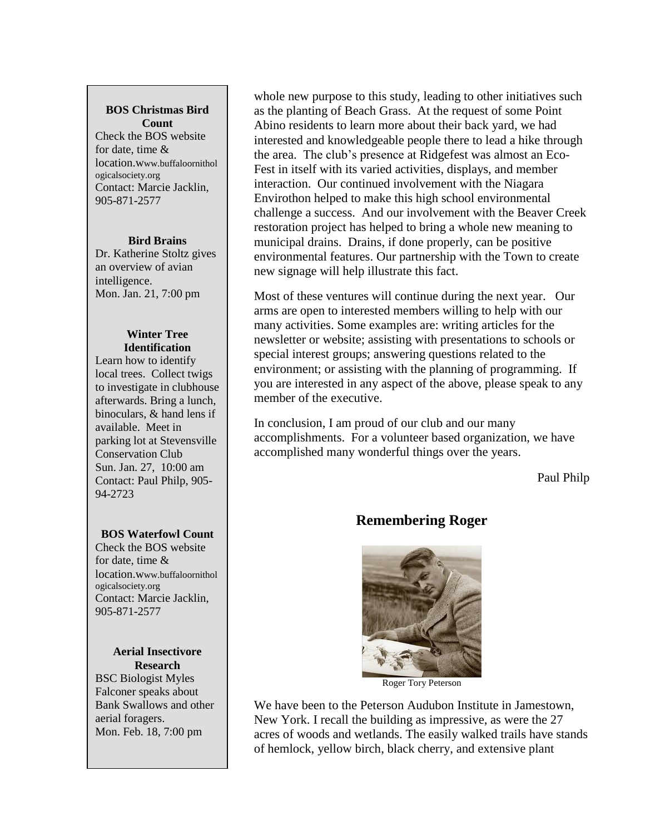## **BOS Christmas Bird Count**

Check the BOS website for date, time & location.www.buffaloornithol ogicalsociety.org Contact: Marcie Jacklin, 905-871-2577

#### **Bird Brains**

Dr. Katherine Stoltz gives an overview of avian intelligence. Mon. Jan. 21, 7:00 pm

#### **Winter Tree Identification**

Learn how to identify local trees. Collect twigs to investigate in clubhouse afterwards. Bring a lunch, binoculars, & hand lens if available. Meet in parking lot at Stevensville Conservation Club Sun. Jan. 27, 10:00 am Contact: Paul Philp, 905- 94-2723

### **BOS Waterfowl Count**

Check the BOS website for date, time & location.www.buffaloornithol ogicalsociety.org Contact: Marcie Jacklin, 905-871-2577

#### **Aerial Insectivore Research**

BSC Biologist Myles Falconer speaks about Bank Swallows and other aerial foragers. Mon. Feb. 18, 7:00 pm

whole new purpose to this study, leading to other initiatives such as the planting of Beach Grass. At the request of some Point Abino residents to learn more about their back yard, we had interested and knowledgeable people there to lead a hike through the area. The club's presence at Ridgefest was almost an Eco-Fest in itself with its varied activities, displays, and member interaction. Our continued involvement with the Niagara Envirothon helped to make this high school environmental challenge a success. And our involvement with the Beaver Creek restoration project has helped to bring a whole new meaning to municipal drains. Drains, if done properly, can be positive environmental features. Our partnership with the Town to create new signage will help illustrate this fact.

Most of these ventures will continue during the next year. Our arms are open to interested members willing to help with our many activities. Some examples are: writing articles for the newsletter or website; assisting with presentations to schools or special interest groups; answering questions related to the environment; or assisting with the planning of programming. If you are interested in any aspect of the above, please speak to any member of the executive.

In conclusion, I am proud of our club and our many accomplishments. For a volunteer based organization, we have accomplished many wonderful things over the years.

Paul Philp

# **Remembering Roger**



Roger Tory Peterson

We have been to the Peterson Audubon Institute in Jamestown, New York. I recall the building as impressive, as were the 27 acres of woods and wetlands. The easily walked trails have stands of hemlock, yellow birch, black cherry, and extensive plant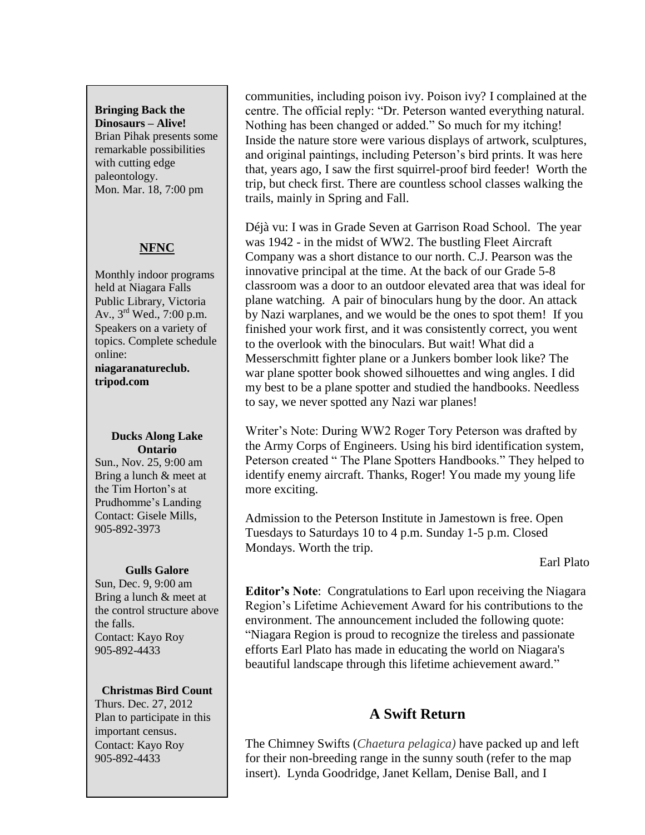**Bringing Back the Dinosaurs – Alive!** Brian Pihak presents some remarkable possibilities with cutting edge paleontology. Mon. Mar. 18, 7:00 pm

## **NFNC**

Monthly indoor programs held at Niagara Falls Public Library, Victoria Av., 3rd Wed., 7:00 p.m. Speakers on a variety of topics. Complete schedule online: **niagaranatureclub. tripod.com**

#### **Ducks Along Lake Ontario**

Sun., Nov. 25, 9:00 am Bring a lunch & meet at the Tim Horton's at Prudhomme's Landing Contact: Gisele Mills, 905-892-3973

### **Gulls Galore**

Sun, Dec. 9, 9:00 am Bring a lunch & meet at the control structure above the falls. Contact: Kayo Roy 905-892-4433

### **Christmas Bird Count**

Thurs. Dec. 27, 2012 Plan to participate in this important census. Contact: Kayo Roy 905-892-4433

communities, including poison ivy. Poison ivy? I complained at the centre. The official reply: "Dr. Peterson wanted everything natural. Nothing has been changed or added." So much for my itching! Inside the nature store were various displays of artwork, sculptures, and original paintings, including Peterson's bird prints. It was here that, years ago, I saw the first squirrel-proof bird feeder! Worth the trip, but check first. There are countless school classes walking the trails, mainly in Spring and Fall.

Déjà vu: I was in Grade Seven at Garrison Road School. The year was 1942 - in the midst of WW2. The bustling Fleet Aircraft Company was a short distance to our north. C.J. Pearson was the innovative principal at the time. At the back of our Grade 5-8 classroom was a door to an outdoor elevated area that was ideal for plane watching. A pair of binoculars hung by the door. An attack by Nazi warplanes, and we would be the ones to spot them! If you finished your work first, and it was consistently correct, you went to the overlook with the binoculars. But wait! What did a Messerschmitt fighter plane or a Junkers bomber look like? The war plane spotter book showed silhouettes and wing angles. I did my best to be a plane spotter and studied the handbooks. Needless to say, we never spotted any Nazi war planes!

Writer's Note: During WW2 Roger Tory Peterson was drafted by the Army Corps of Engineers. Using his bird identification system, Peterson created " The Plane Spotters Handbooks." They helped to identify enemy aircraft. Thanks, Roger! You made my young life more exciting.

Admission to the Peterson Institute in Jamestown is free. Open Tuesdays to Saturdays 10 to 4 p.m. Sunday 1-5 p.m. Closed Mondays. Worth the trip.

Earl Plato

**Editor's Note**: Congratulations to Earl upon receiving the Niagara Region's Lifetime Achievement Award for his contributions to the environment. The announcement included the following quote: "Niagara Region is proud to recognize the tireless and passionate efforts Earl Plato has made in educating the world on Niagara's beautiful landscape through this lifetime achievement award."

# **A Swift Return**

The Chimney Swifts (*Chaetura pelagica)* have packed up and left for their non-breeding range in the sunny south (refer to the map insert). Lynda Goodridge, Janet Kellam, Denise Ball, and I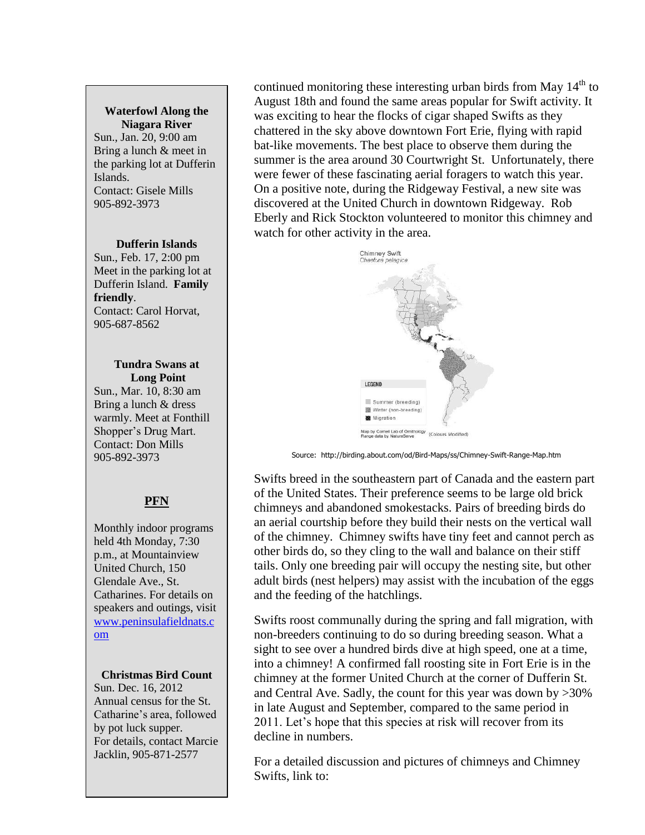## **Waterfowl Along the Niagara River**

Sun., Jan. 20, 9:00 am Bring a lunch & meet in the parking lot at Dufferin Islands. Contact: Gisele Mills 905-892-3973

#### **Dufferin Islands**

Sun., Feb. 17, 2:00 pm Meet in the parking lot at Dufferin Island. **Family friendly**. Contact: Carol Horvat, 905-687-8562

#### **Tundra Swans at Long Point**

Sun., Mar. 10, 8:30 am Bring a lunch & dress warmly. Meet at Fonthill Shopper's Drug Mart. Contact: Don Mills 905-892-3973

# **PFN**

Monthly indoor programs held 4th Monday, 7:30 p.m., at Mountainview United Church, 150 Glendale Ave., St. Catharines. For details on speakers and outings, visit [www.peninsulafieldnats.c](http://www.peninsulafieldnats.com/) [om](http://www.peninsulafieldnats.com/)

### **Christmas Bird Count**

Sun. Dec. 16, 2012 Annual census for the St. Catharine's area, followed by pot luck supper. For details, contact Marcie Jacklin, 905-871-2577

continued monitoring these interesting urban birds from May  $14<sup>th</sup>$  to August 18th and found the same areas popular for Swift activity. It was exciting to hear the flocks of cigar shaped Swifts as they chattered in the sky above downtown Fort Erie, flying with rapid bat-like movements. The best place to observe them during the summer is the area around 30 Courtwright St. Unfortunately, there were fewer of these fascinating aerial foragers to watch this year. On a positive note, during the Ridgeway Festival, a new site was discovered at the United Church in downtown Ridgeway. Rob Eberly and Rick Stockton volunteered to monitor this chimney and watch for other activity in the area.



Source: http://birding.about.com/od/Bird-Maps/ss/Chimney-Swift-Range-Map.htm

Swifts breed in the southeastern part of Canada and the eastern part of the United States. Their preference seems to be large old brick chimneys and abandoned smokestacks. Pairs of breeding birds do an aerial courtship before they build their nests on the vertical wall of the chimney. Chimney swifts have tiny feet and cannot perch as other birds do, so they cling to the wall and balance on their stiff tails. Only one breeding pair will occupy the nesting site, but other adult birds (nest helpers) may assist with the incubation of the eggs and the feeding of the hatchlings.

Swifts roost communally during the spring and fall migration, with non-breeders continuing to do so during breeding season. What a sight to see over a hundred birds dive at high speed, one at a time, into a chimney! A confirmed fall roosting site in Fort Erie is in the chimney at the former United Church at the corner of Dufferin St. and Central Ave. Sadly, the count for this year was down by >30% in late August and September, compared to the same period in 2011. Let's hope that this species at risk will recover from its decline in numbers.

For a detailed discussion and pictures of chimneys and Chimney Swifts, link to: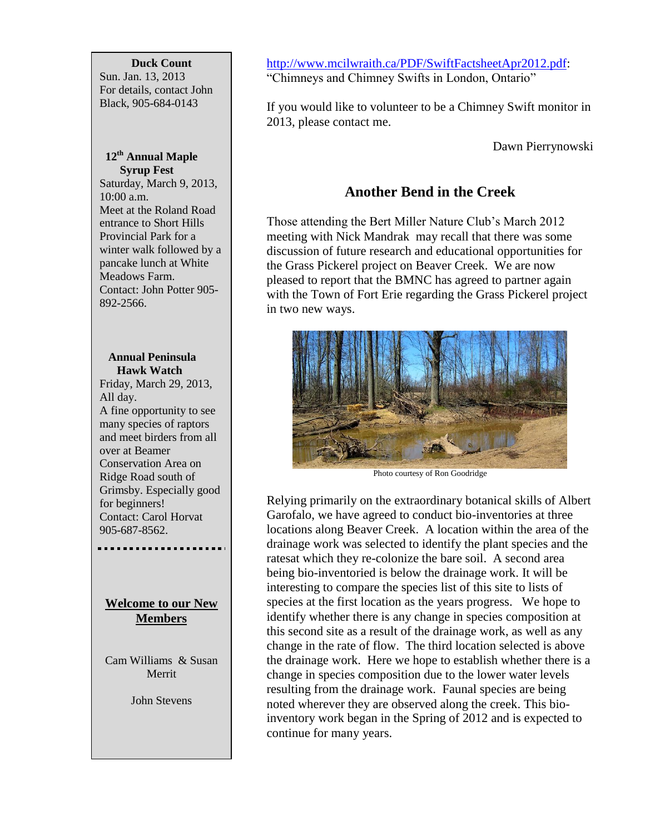#### **Duck Count**

Sun. Jan. 13, 2013 For details, contact John Black, 905-684-0143

## **12th Annual Maple Syrup Fest**

Saturday, March 9, 2013, 10:00 a.m. Meet at the Roland Road entrance to Short Hills Provincial Park for a winter walk followed by a pancake lunch at White Meadows Farm. Contact: John Potter 905- 892-2566.

## **Annual Peninsula Hawk Watch** Friday, March 29, 2013, All day. A fine opportunity to see many species of raptors and meet birders from all over at Beamer Conservation Area on Ridge Road south of Grimsby. Especially good for beginners! Contact: Carol Horvat 905-687-8562.

## **Welcome to our New Members**

Cam Williams & Susan Merrit

John Stevens

[http://www.mcilwraith.ca/PDF/SwiftFactsheetApr2012.pdf:](http://www.mcilwraith.ca/PDF/SwiftFactsheetApr2012.pdf) "Chimneys and Chimney Swifts in London, Ontario"

If you would like to volunteer to be a Chimney Swift monitor in 2013, please contact me.

Dawn Pierrynowski

# **Another Bend in the Creek**

Those attending the Bert Miller Nature Club's March 2012 meeting with Nick Mandrak may recall that there was some discussion of future research and educational opportunities for the Grass Pickerel project on Beaver Creek. We are now pleased to report that the BMNC has agreed to partner again with the Town of Fort Erie regarding the Grass Pickerel project in two new ways.



Photo courtesy of Ron Goodridge

Relying primarily on the extraordinary botanical skills of Albert Garofalo, we have agreed to conduct bio-inventories at three locations along Beaver Creek. A location within the area of the drainage work was selected to identify the plant species and the ratesat which they re-colonize the bare soil. A second area being bio-inventoried is below the drainage work. It will be interesting to compare the species list of this site to lists of species at the first location as the years progress. We hope to identify whether there is any change in species composition at this second site as a result of the drainage work, as well as any change in the rate of flow. The third location selected is above the drainage work. Here we hope to establish whether there is a change in species composition due to the lower water levels resulting from the drainage work. Faunal species are being noted wherever they are observed along the creek. This bioinventory work began in the Spring of 2012 and is expected to continue for many years.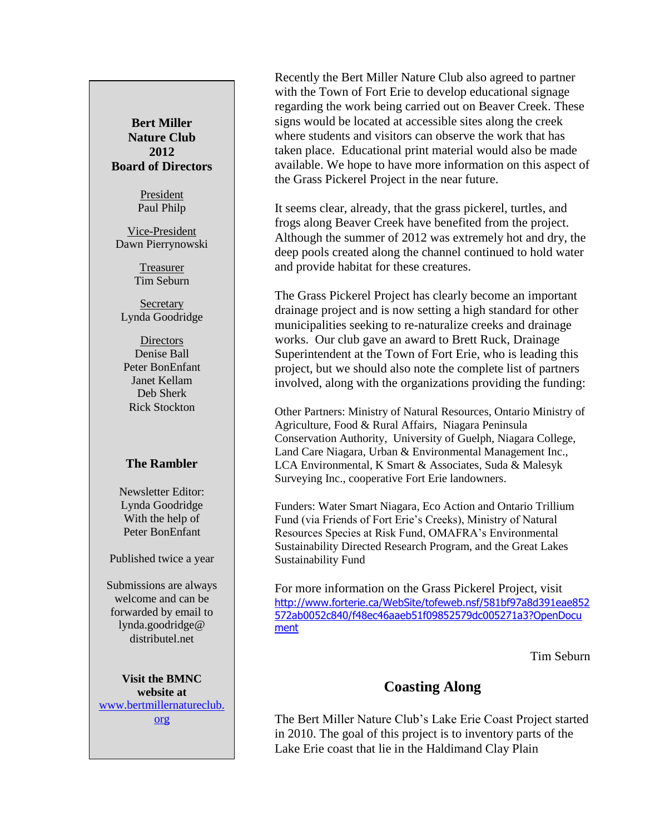## **Bert Miller Nature Club 2012 Board of Directors**

President Paul Philp

Vice-President Dawn Pierrynowski

> Treasurer Tim Seburn

**Secretary** Lynda Goodridge

**Directors** Denise Ball Peter BonEnfant Janet Kellam Deb Sherk Rick Stockton

### **The Rambler**

Newsletter Editor: Lynda Goodridge With the help of Peter BonEnfant

#### Published twice a year

Submissions are always welcome and can be forwarded by email to lynda.goodridge@ distributel net

**Visit the BMNC website at** [www.bertmillernatureclub.](http://www.bertmillernatureclub.org/) [org](http://www.bertmillernatureclub.org/)

Recently the Bert Miller Nature Club also agreed to partner with the Town of Fort Erie to develop educational signage regarding the work being carried out on Beaver Creek. These signs would be located at accessible sites along the creek where students and visitors can observe the work that has taken place. Educational print material would also be made available. We hope to have more information on this aspect of the Grass Pickerel Project in the near future.

It seems clear, already, that the grass pickerel, turtles, and frogs along Beaver Creek have benefited from the project. Although the summer of 2012 was extremely hot and dry, the deep pools created along the channel continued to hold water and provide habitat for these creatures.

The Grass Pickerel Project has clearly become an important drainage project and is now setting a high standard for other municipalities seeking to re-naturalize creeks and drainage works. Our club gave an award to Brett Ruck, Drainage Superintendent at the Town of Fort Erie, who is leading this project, but we should also note the complete list of partners involved, along with the organizations providing the funding:

Other Partners: Ministry of Natural Resources, Ontario Ministry of Agriculture, Food & Rural Affairs, Niagara Peninsula Conservation Authority, University of Guelph, Niagara College, Land Care Niagara, Urban & Environmental Management Inc., LCA Environmental, K Smart & Associates, Suda & Malesyk Surveying Inc., cooperative Fort Erie landowners.

Funders: Water Smart Niagara, Eco Action and Ontario Trillium Fund (via Friends of Fort Erie's Creeks), Ministry of Natural Resources Species at Risk Fund, OMAFRA's Environmental Sustainability Directed Research Program, and the Great Lakes Sustainability Fund

For more information on the Grass Pickerel Project, visit [http://www.forterie.ca/WebSite/tofeweb.nsf/581bf97a8d391eae852](http://www.forterie.ca/WebSite/tofeweb.nsf/581bf97a8d391eae852572ab0052c840/f48ec46aaeb51f09852579dc005271a3?OpenDocument) [572ab0052c840/f48ec46aaeb51f09852579dc005271a3?OpenDocu](http://www.forterie.ca/WebSite/tofeweb.nsf/581bf97a8d391eae852572ab0052c840/f48ec46aaeb51f09852579dc005271a3?OpenDocument) [ment](http://www.forterie.ca/WebSite/tofeweb.nsf/581bf97a8d391eae852572ab0052c840/f48ec46aaeb51f09852579dc005271a3?OpenDocument)

Tim Seburn

## **Coasting Along**

The Bert Miller Nature Club's Lake Erie Coast Project started in 2010. The goal of this project is to inventory parts of the Lake Erie coast that lie in the Haldimand Clay Plain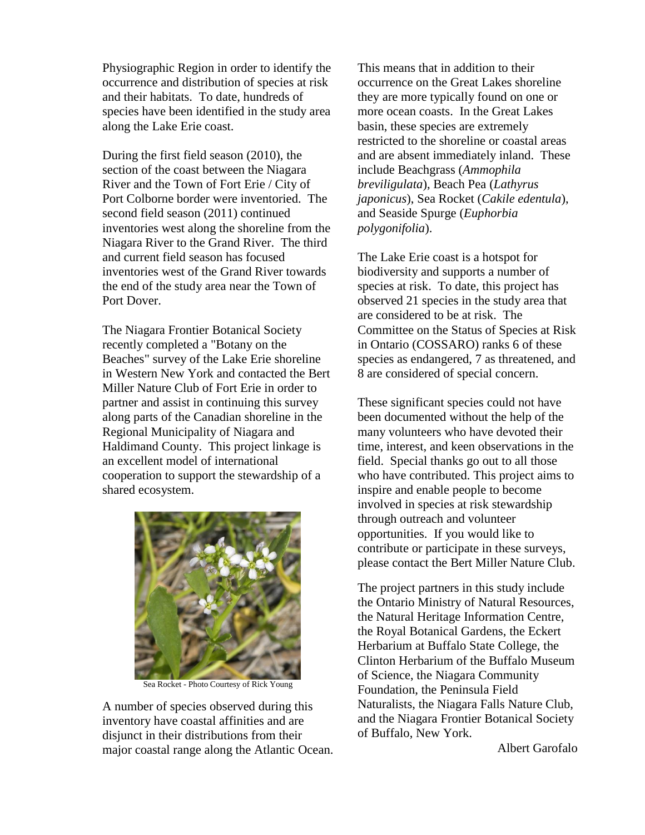Physiographic Region in order to identify the occurrence and distribution of species at risk and their habitats. To date, hundreds of species have been identified in the study area along the Lake Erie coast.

During the first field season (2010), the section of the coast between the Niagara River and the Town of Fort Erie / City of Port Colborne border were inventoried. The second field season (2011) continued inventories west along the shoreline from the Niagara River to the Grand River. The third and current field season has focused inventories west of the Grand River towards the end of the study area near the Town of Port Dover.

The Niagara Frontier Botanical Society recently completed a "Botany on the Beaches" survey of the Lake Erie shoreline in Western New York and contacted the Bert Miller Nature Club of Fort Erie in order to partner and assist in continuing this survey along parts of the Canadian shoreline in the Regional Municipality of Niagara and Haldimand County. This project linkage is an excellent model of international cooperation to support the stewardship of a shared ecosystem.



Sea Rocket - Photo Courtesy of Rick Young

A number of species observed during this inventory have coastal affinities and are disjunct in their distributions from their major coastal range along the Atlantic Ocean.

This means that in addition to their occurrence on the Great Lakes shoreline they are more typically found on one or more ocean coasts. In the Great Lakes basin, these species are extremely restricted to the shoreline or coastal areas and are absent immediately inland. These include Beachgrass (*Ammophila breviligulata*), Beach Pea (*Lathyrus japonicus*), Sea Rocket (*Cakile edentula*), and Seaside Spurge (*Euphorbia polygonifolia*).

The Lake Erie coast is a hotspot for biodiversity and supports a number of species at risk. To date, this project has observed 21 species in the study area that are considered to be at risk. The Committee on the Status of Species at Risk in Ontario (COSSARO) ranks 6 of these species as endangered, 7 as threatened, and 8 are considered of special concern.

These significant species could not have been documented without the help of the many volunteers who have devoted their time, interest, and keen observations in the field. Special thanks go out to all those who have contributed. This project aims to inspire and enable people to become involved in species at risk stewardship through outreach and volunteer opportunities. If you would like to contribute or participate in these surveys, please contact the Bert Miller Nature Club.

The project partners in this study include the Ontario Ministry of Natural Resources, the Natural Heritage Information Centre, the Royal Botanical Gardens, the Eckert Herbarium at Buffalo State College, the Clinton Herbarium of the Buffalo Museum of Science, the Niagara Community Foundation, the Peninsula Field Naturalists, the Niagara Falls Nature Club, and the Niagara Frontier Botanical Society of Buffalo, New York.

Albert Garofalo